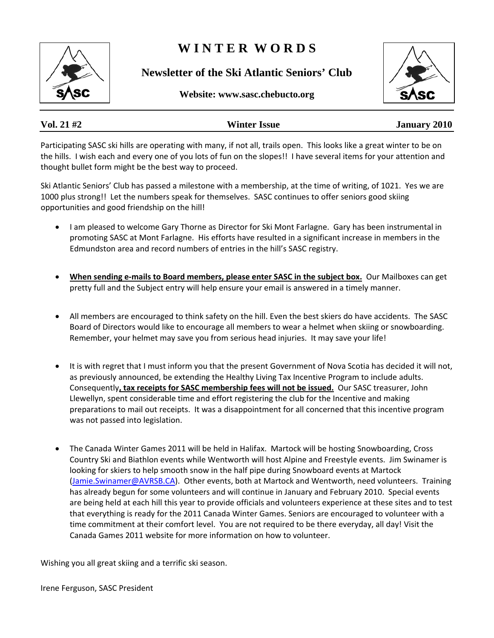# **W I N T E R W O R D S**

**Newsletter of the Ski Atlantic Seniors' Club** 





# **Vol. 21 #2 Winter Issue January 2010**

Participating SASC ski hills are operating with many, if not all, trails open. This looks like a great winter to be on the hills. I wish each and every one of you lots of fun on the slopes!! I have several items for your attention and thought bullet form might be the best way to proceed.

Ski Atlantic Seniors' Club has passed a milestone with a membership, at the time of writing, of 1021. Yes we are 1000 plus strong!! Let the numbers speak for themselves. SASC continues to offer seniors good skiing opportunities and good friendship on the hill!

- I am pleased to welcome Gary Thorne as Director for Ski Mont Farlagne. Gary has been instrumental in promoting SASC at Mont Farlagne. His efforts have resulted in a significant increase in members in the Edmundston area and record numbers of entries in the hill's SASC registry.
- **When sending e‐mails to Board members, please enter SASC in the subject box.** Our Mailboxes can get pretty full and the Subject entry will help ensure your email is answered in a timely manner.
- All members are encouraged to think safety on the hill. Even the best skiers do have accidents. The SASC Board of Directors would like to encourage all members to wear a helmet when skiing or snowboarding. Remember, your helmet may save you from serious head injuries. It may save your life!
- It is with regret that I must inform you that the present Government of Nova Scotia has decided it will not, as previously announced, be extending the Healthy Living Tax Incentive Program to include adults. Consequently**, tax receipts for SASC membership fees will not be issued.** Our SASC treasurer, John Llewellyn, spent considerable time and effort registering the club for the Incentive and making preparations to mail out receipts. It was a disappointment for all concerned that this incentive program was not passed into legislation.
- The Canada Winter Games 2011 will be held in Halifax. Martock will be hosting Snowboarding, Cross Country Ski and Biathlon events while Wentworth will host Alpine and Freestyle events. Jim Swinamer is looking for skiers to help smooth snow in the half pipe during Snowboard events at Martock ([Jamie.Swinamer@AVRSB.CA](mailto:Jamie.Swinamer@AVRSB.CA)). Other events, both at Martock and Wentworth, need volunteers. Training has already begun for some volunteers and will continue in January and February 2010. Special events are being held at each hill this year to provide officials and volunteers experience at these sites and to test that everything is ready for the 2011 Canada Winter Games. Seniors are encouraged to volunteer with a time commitment at their comfort level. You are not required to be there everyday, all day! Visit the Canada Games 2011 website for more information on how to volunteer.

Wishing you all great skiing and a terrific ski season.

Irene Ferguson, SASC President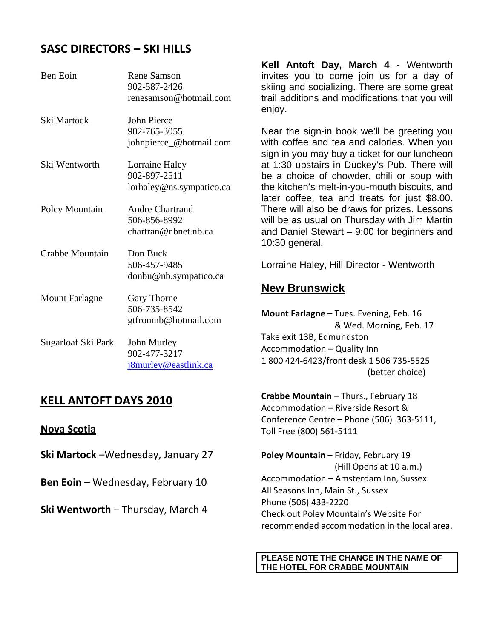## **SASC DIRECTORS – SKI HILLS**

| Ben Eoin              | <b>Rene Samson</b><br>902-587-2426<br>renesamson@hotmail.com   |
|-----------------------|----------------------------------------------------------------|
| Ski Martock           | John Pierce<br>902-765-3055<br>johnpierce_@hotmail.com         |
| Ski Wentworth         | Lorraine Haley<br>902-897-2511<br>lorhaley@ns.sympatico.ca     |
| Poley Mountain        | <b>Andre Chartrand</b><br>506-856-8992<br>chartran@nbnet.nb.ca |
| Crabbe Mountain       | Don Buck<br>506-457-9485<br>donbu@nb.sympatico.ca              |
| <b>Mount Farlagne</b> | Gary Thorne<br>506-735-8542<br>gtfromnb@hotmail.com            |
| Sugarloaf Ski Park    | John Murley<br>902-477-3217<br><u>j8murley@eastlink.ca</u>     |

## **KELL ANTOFT DAYS 2010**

#### **Nova Scotia**

**Ski Martock** –Wednesday, January 27

**Ben Eoin** – Wednesday, February 10

**Ski Wentworth** – Thursday, March 4

**Kell Antoft Day, March 4** - Wentworth invites you to come join us for a day of skiing and socializing. There are some great trail additions and modifications that you will enjoy.

Near the sign-in book we'll be greeting you with coffee and tea and calories. When you sign in you may buy a ticket for our luncheon at 1:30 upstairs in Duckey's Pub. There will be a choice of chowder, chili or soup with the kitchen's melt-in-you-mouth biscuits, and later coffee, tea and treats for just \$8.00. There will also be draws for prizes. Lessons will be as usual on Thursday with Jim Martin and Daniel Stewart – 9:00 for beginners and 10:30 general.

Lorraine Haley, Hill Director - Wentworth

## **New Brunswick**

**Mount Farlagne** – Tues. Evening, Feb. 16 & Wed. Morning, Feb. 17 Take exit 13B, Edmundston Accommodation – Quality Inn 1 800 424‐6423/front desk 1 506 735‐5525 (better choice)

**Crabbe Mountain** – Thurs., February 18 Accommodation – Riverside Resort & Conference Centre – Phone (506) 363‐5111, Toll Free (800) 561‐5111

**Poley Mountain** – Friday, February 19 (Hill Opens at 10 a.m.) Accommodation – Amsterdam Inn, Sussex All Seasons Inn, Main St., Sussex Phone (506) 433‐2220 Check out Poley Mountain's Website For recommended accommodation in the local area.

#### **PLEASE NOTE THE CHANGE IN THE NAME OF THE HOTEL FOR CRABBE MOUNTAIN**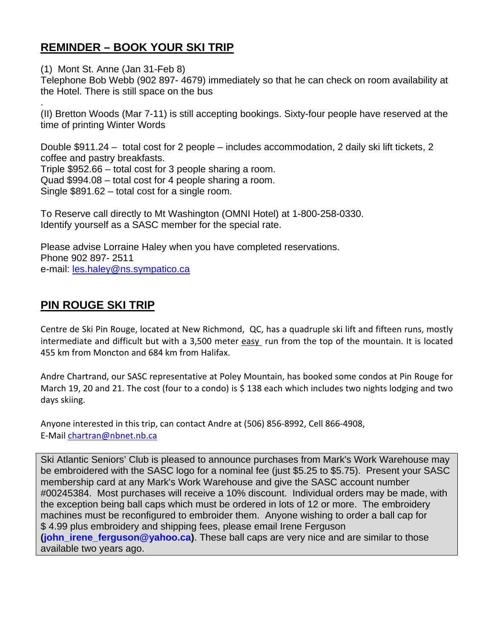# **REMINDER – BOOK YOUR SKI TRIP**

(1) Mont St. Anne (Jan 31-Feb 8)

.

Telephone Bob Webb (902 897- 4679) immediately so that he can check on room availability at the Hotel. There is still space on the bus

(II) Bretton Woods (Mar 7-11) is still accepting bookings. Sixty-four people have reserved at the time of printing Winter Words

Double \$911.24 – total cost for 2 people – includes accommodation, 2 daily ski lift tickets, 2 coffee and pastry breakfasts. Triple \$952.66 – total cost for 3 people sharing a room. Quad \$994.08 – total cost for 4 people sharing a room. Single \$891.62 – total cost for a single room.

To Reserve call directly to Mt Washington (OMNI Hotel) at 1-800-258-0330. Identify yourself as a SASC member for the special rate.

Please advise Lorraine Haley when you have completed reservations. Phone 902 897- 2511 e-mail: [les.haley@ns.sympatico.ca](mailto:les.haley@ns.sympatico.ca)

# **PIN ROUGE SKI TRIP**

Centre de Ski Pin Rouge, located at New Richmond, QC, has a quadruple ski lift and fifteen runs, mostly intermediate and difficult but with a 3,500 meter easy run from the top of the mountain. It is located 455 km from Moncton and 684 km from Halifax.

Andre Chartrand, our SASC representative at Poley Mountain, has booked some condos at Pin Rouge for March 19, 20 and 21. The cost (four to a condo) is \$ 138 each which includes two nights lodging and two days skiing.

Anyone interested in this trip, can contact Andre at (506) 856‐8992, Cell 866‐4908, E‐Mail [chartran@nbnet.nb.ca](mailto:chartran@nbnet.nb.ca)

Ski Atlantic Seniors' Club is pleased to announce purchases from Mark's Work Warehouse may be embroidered with the SASC logo for a nominal fee (just \$5.25 to \$5.75). Present your SASC membership card at any Mark's Work Warehouse and give the SASC account number #00245384. Most purchases will receive a 10% discount. Individual orders may be made, with the exception being ball caps which must be ordered in lots of 12 or more. The embroidery machines must be reconfigured to embroider them. Anyone wishing to order a ball cap for \$ 4.99 plus embroidery and shipping fees, please email Irene Ferguson **[\(john\\_irene\\_ferguson@yahoo.ca\)](mailto:john_irene_ferguson@yahoo.ca)**. These ball caps are very nice and are similar to those available two years ago.